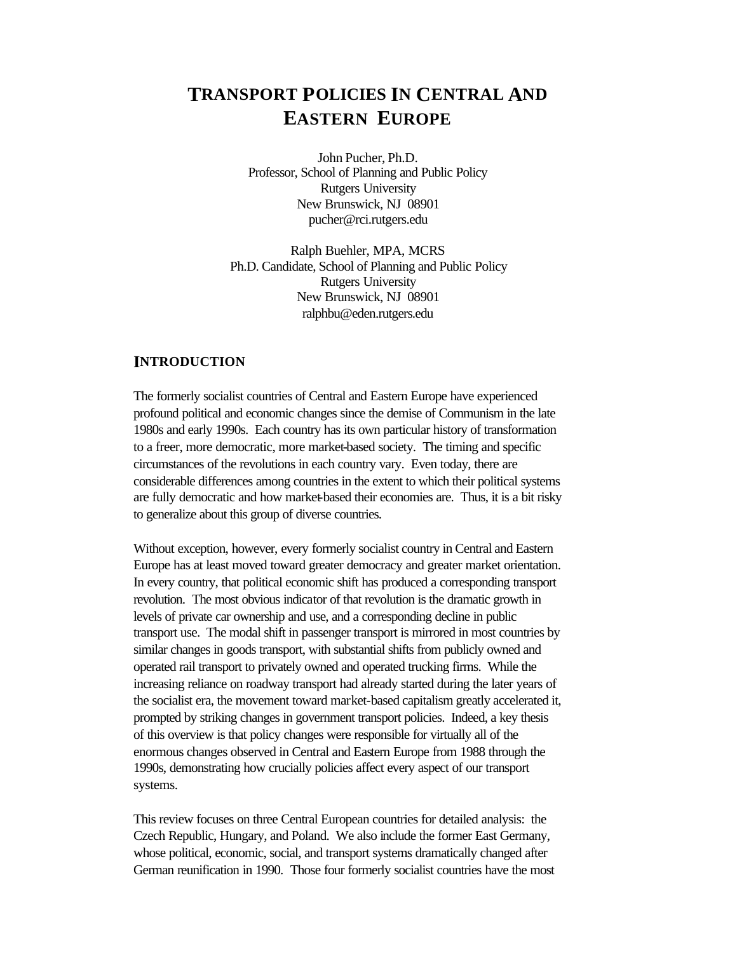# **TRANSPORT POLICIES IN CENTRAL AND EASTERN EUROPE**

John Pucher, Ph.D. Professor, School of Planning and Public Policy Rutgers University New Brunswick, NJ 08901 pucher@rci.rutgers.edu

Ralph Buehler, MPA, MCRS Ph.D. Candidate, School of Planning and Public Policy Rutgers University New Brunswick, NJ 08901 ralphbu@eden.rutgers.edu

#### **INTRODUCTION**

The formerly socialist countries of Central and Eastern Europe have experienced profound political and economic changes since the demise of Communism in the late 1980s and early 1990s. Each country has its own particular history of transformation to a freer, more democratic, more market-based society. The timing and specific circumstances of the revolutions in each country vary. Even today, there are considerable differences among countries in the extent to which their political systems are fully democratic and how market-based their economies are. Thus, it is a bit risky to generalize about this group of diverse countries.

Without exception, however, every formerly socialist country in Central and Eastern Europe has at least moved toward greater democracy and greater market orientation. In every country, that political economic shift has produced a corresponding transport revolution. The most obvious indicator of that revolution is the dramatic growth in levels of private car ownership and use, and a corresponding decline in public transport use. The modal shift in passenger transport is mirrored in most countries by similar changes in goods transport, with substantial shifts from publicly owned and operated rail transport to privately owned and operated trucking firms. While the increasing reliance on roadway transport had already started during the later years of the socialist era, the movement toward market-based capitalism greatly accelerated it, prompted by striking changes in government transport policies. Indeed, a key thesis of this overview is that policy changes were responsible for virtually all of the enormous changes observed in Central and Eastern Europe from 1988 through the 1990s, demonstrating how crucially policies affect every aspect of our transport systems.

This review focuses on three Central European countries for detailed analysis: the Czech Republic, Hungary, and Poland. We also include the former East Germany, whose political, economic, social, and transport systems dramatically changed after German reunification in 1990. Those four formerly socialist countries have the most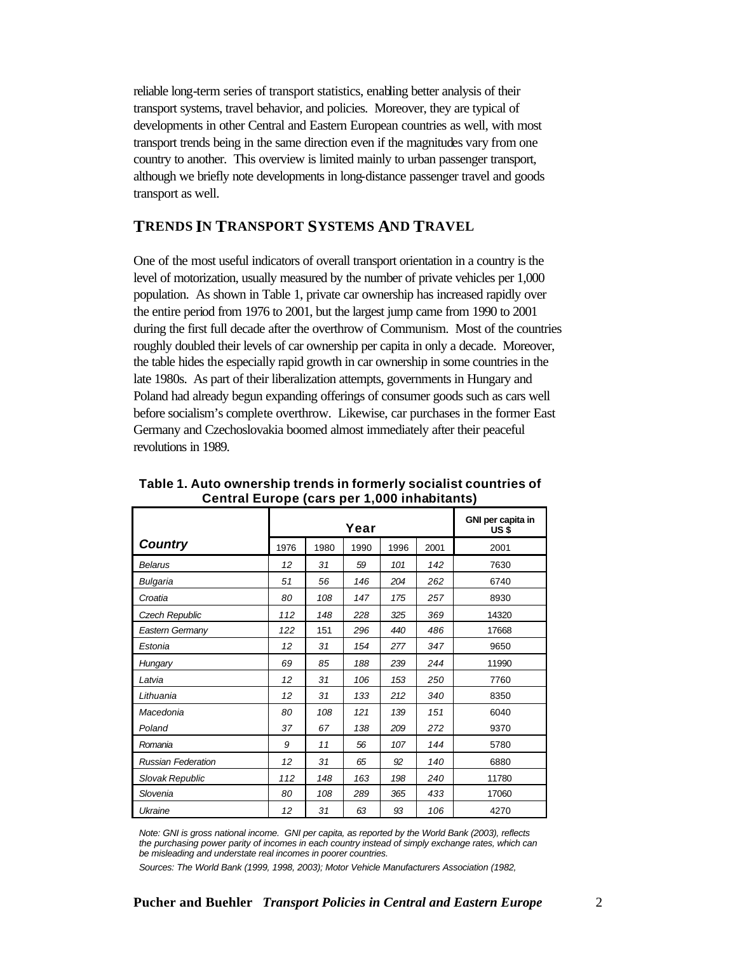reliable long-term series of transport statistics, enabling better analysis of their transport systems, travel behavior, and policies. Moreover, they are typical of developments in other Central and Eastern European countries as well, with most transport trends being in the same direction even if the magnitudes vary from one country to another. This overview is limited mainly to urban passenger transport, although we briefly note developments in long-distance passenger travel and goods transport as well.

#### **TRENDS IN TRANSPORT SYSTEMS AND TRAVEL**

One of the most useful indicators of overall transport orientation in a country is the level of motorization, usually measured by the number of private vehicles per 1,000 population. As shown in Table 1, private car ownership has increased rapidly over the entire period from 1976 to 2001, but the largest jump came from 1990 to 2001 during the first full decade after the overthrow of Communism. Most of the countries roughly doubled their levels of car ownership per capita in only a decade. Moreover, the table hides the especially rapid growth in car ownership in some countries in the late 1980s. As part of their liberalization attempts, governments in Hungary and Poland had already begun expanding offerings of consumer goods such as cars well before socialism's complete overthrow. Likewise, car purchases in the former East Germany and Czechoslovakia boomed almost immediately after their peaceful revolutions in 1989.

|                           | Year |      |      |      |      | GNI per capita in<br>US <sub>\$</sub> |
|---------------------------|------|------|------|------|------|---------------------------------------|
| <b>Country</b>            | 1976 | 1980 | 1990 | 1996 | 2001 | 2001                                  |
| Belarus                   | 12   | 31   | 59   | 101  | 142  | 7630                                  |
| Bulgaria                  | 51   | 56   | 146  | 204  | 262  | 6740                                  |
| Croatia                   | 80   | 108  | 147  | 175  | 257  | 8930                                  |
| <b>Czech Republic</b>     | 112  | 148  | 228  | 325  | 369  | 14320                                 |
| Eastern Germany           | 122  | 151  | 296  | 440  | 486  | 17668                                 |
| Estonia                   | 12   | 31   | 154  | 277  | 347  | 9650                                  |
| Hungary                   | 69   | 85   | 188  | 239  | 244  | 11990                                 |
| Latvia                    | 12   | 31   | 106  | 153  | 250  | 7760                                  |
| Lithuania                 | 12   | 31   | 133  | 212  | 340  | 8350                                  |
| Macedonia                 | 80   | 108  | 121  | 139  | 151  | 6040                                  |
| Poland                    | 37   | 67   | 138  | 209  | 272  | 9370                                  |
| Romania                   | 9    | 11   | 56   | 107  | 144  | 5780                                  |
| <b>Russian Federation</b> | 12   | 31   | 65   | 92   | 140  | 6880                                  |
| Slovak Republic           | 112  | 148  | 163  | 198  | 240  | 11780                                 |
| Slovenia                  | 80   | 108  | 289  | 365  | 433  | 17060                                 |
| Ukraine                   | 12   | 31   | 63   | 93   | 106  | 4270                                  |

**Table 1. Auto ownership trends in formerly socialist countries of Central Europe (cars per 1,000 inhabitants)**

*Note: GNI is gross national income. GNI per capita, as reported by the World Bank (2003), reflects the purchasing power parity of incomes in each country instead of simply exchange rates, which can be misleading and understate real incomes in poorer countries.*

*Sources: The World Bank (1999, 1998, 2003); Motor Vehicle Manufacturers Association (1982,*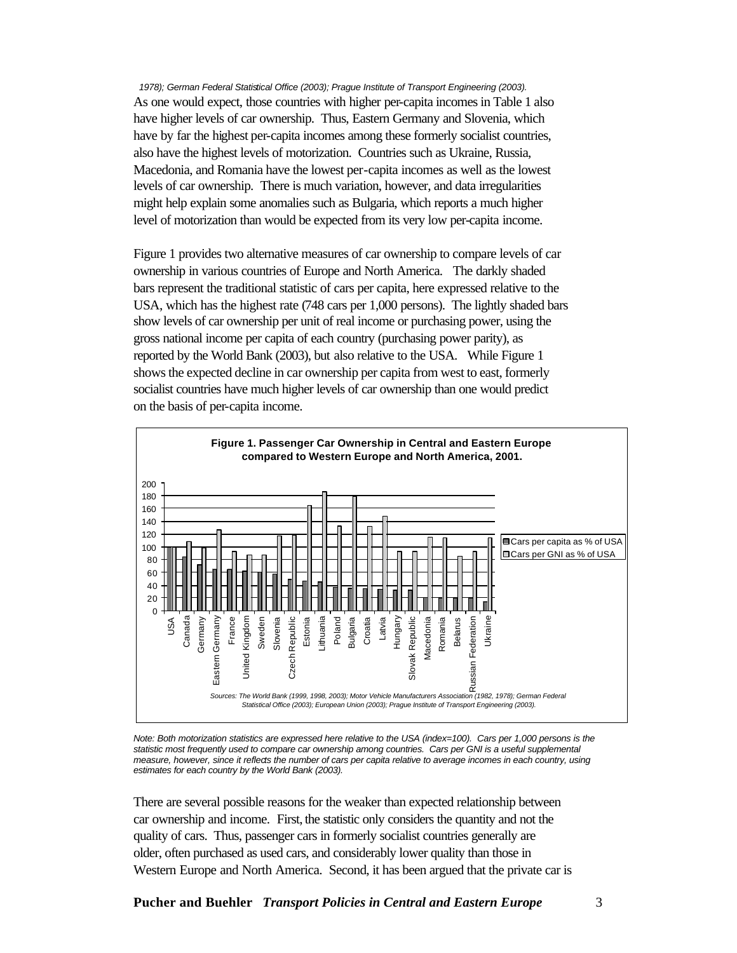*1978); German Federal Statistical Office (2003); Prague Institute of Transport Engineering (2003).* As one would expect, those countries with higher per-capita incomes in Table 1 also have higher levels of car ownership. Thus, Eastern Germany and Slovenia, which have by far the highest per-capita incomes among these formerly socialist countries, also have the highest levels of motorization. Countries such as Ukraine, Russia, Macedonia, and Romania have the lowest per-capita incomes as well as the lowest levels of car ownership. There is much variation, however, and data irregularities might help explain some anomalies such as Bulgaria, which reports a much higher level of motorization than would be expected from its very low per-capita income.

Figure 1 provides two alternative measures of car ownership to compare levels of car ownership in various countries of Europe and North America. The darkly shaded bars represent the traditional statistic of cars per capita, here expressed relative to the USA, which has the highest rate (748 cars per 1,000 persons). The lightly shaded bars show levels of car ownership per unit of real income or purchasing power, using the gross national income per capita of each country (purchasing power parity), as reported by the World Bank (2003), but also relative to the USA. While Figure 1 shows the expected decline in car ownership per capita from west to east, formerly socialist countries have much higher levels of car ownership than one would predict on the basis of per-capita income.



*Note: Both motorization statistics are expressed here relative to the USA (index=100). Cars per 1,000 persons is the*  statistic most frequently used to compare car ownership among countries. Cars per GNI is a useful supplemental *measure, however, since it reflects the number of cars per capita relative to average incomes in each country, using estimates for each country by the World Bank (2003).*

There are several possible reasons for the weaker than expected relationship between car ownership and income. First, the statistic only considers the quantity and not the quality of cars. Thus, passenger cars in formerly socialist countries generally are older, often purchased as used cars, and considerably lower quality than those in Western Europe and North America. Second, it has been argued that the private car is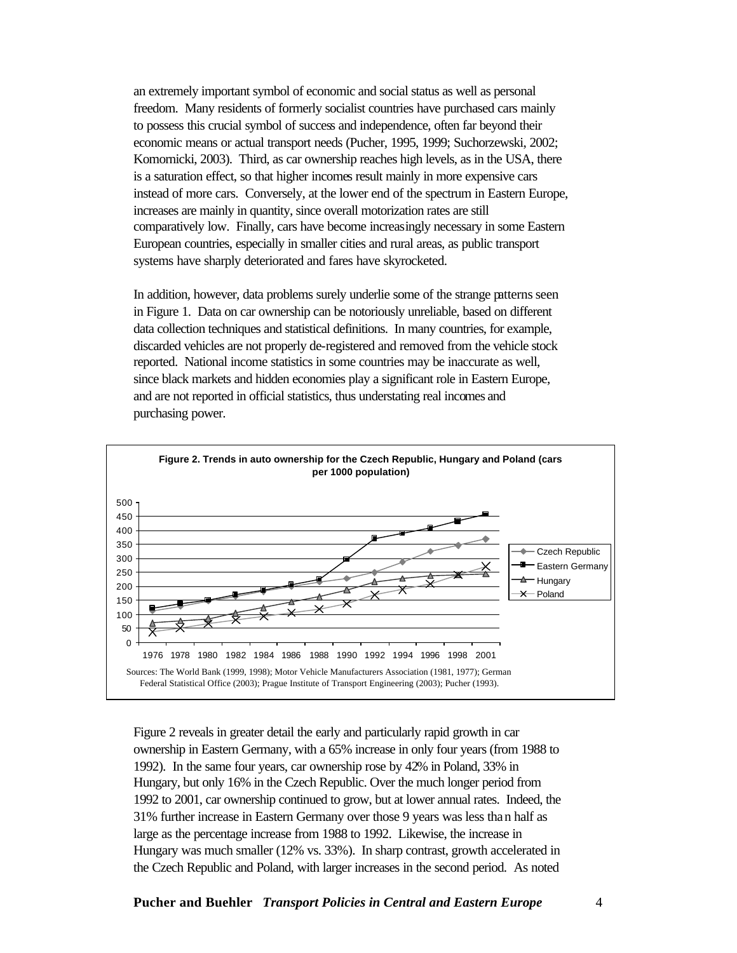an extremely important symbol of economic and social status as well as personal freedom. Many residents of formerly socialist countries have purchased cars mainly to possess this crucial symbol of success and independence, often far beyond their economic means or actual transport needs (Pucher, 1995, 1999; Suchorzewski, 2002; Komornicki, 2003). Third, as car ownership reaches high levels, as in the USA, there is a saturation effect, so that higher incomes result mainly in more expensive cars instead of more cars. Conversely, at the lower end of the spectrum in Eastern Europe, increases are mainly in quantity, since overall motorization rates are still comparatively low. Finally, cars have become increasingly necessary in some Eastern European countries, especially in smaller cities and rural areas, as public transport systems have sharply deteriorated and fares have skyrocketed.

In addition, however, data problems surely underlie some of the strange patterns seen in Figure 1. Data on car ownership can be notoriously unreliable, based on different data collection techniques and statistical definitions. In many countries, for example, discarded vehicles are not properly de-registered and removed from the vehicle stock reported. National income statistics in some countries may be inaccurate as well, since black markets and hidden economies play a significant role in Eastern Europe, and are not reported in official statistics, thus understating real incomes and purchasing power.



Figure 2 reveals in greater detail the early and particularly rapid growth in car ownership in Eastern Germany, with a 65% increase in only four years (from 1988 to 1992). In the same four years, car ownership rose by 42% in Poland, 33% in Hungary, but only 16% in the Czech Republic. Over the much longer period from 1992 to 2001, car ownership continued to grow, but at lower annual rates. Indeed, the 31% further increase in Eastern Germany over those 9 years was less than half as large as the percentage increase from 1988 to 1992. Likewise, the increase in Hungary was much smaller (12% vs. 33%). In sharp contrast, growth accelerated in the Czech Republic and Poland, with larger increases in the second period. As noted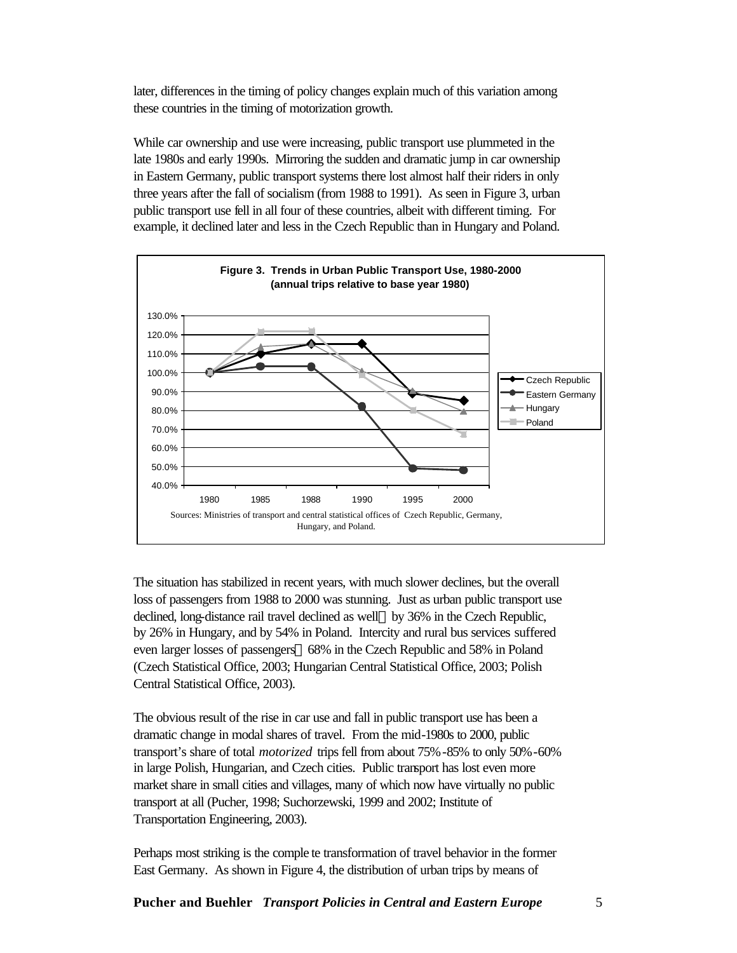later, differences in the timing of policy changes explain much of this variation among these countries in the timing of motorization growth.

While car ownership and use were increasing, public transport use plummeted in the late 1980s and early 1990s. Mirroring the sudden and dramatic jump in car ownership in Eastern Germany, public transport systems there lost almost half their riders in only three years after the fall of socialism (from 1988 to 1991). As seen in Figure 3, urban public transport use fell in all four of these countries, albeit with different timing. For example, it declined later and less in the Czech Republic than in Hungary and Poland.



The situation has stabilized in recent years, with much slower declines, but the overall loss of passengers from 1988 to 2000 was stunning. Just as urban public transport use declined, long-distance rail travel declined as well—by 36% in the Czech Republic, by 26% in Hungary, and by 54% in Poland. Intercity and rural bus services suffered even larger losses of passengers—68% in the Czech Republic and 58% in Poland (Czech Statistical Office, 2003; Hungarian Central Statistical Office, 2003; Polish Central Statistical Office, 2003).

The obvious result of the rise in car use and fall in public transport use has been a dramatic change in modal shares of travel. From the mid-1980s to 2000, public transport's share of total *motorized* trips fell from about 75%-85% to only 50%-60% in large Polish, Hungarian, and Czech cities. Public transport has lost even more market share in small cities and villages, many of which now have virtually no public transport at all (Pucher, 1998; Suchorzewski, 1999 and 2002; Institute of Transportation Engineering, 2003).

Perhaps most striking is the comple te transformation of travel behavior in the former East Germany. As shown in Figure 4, the distribution of urban trips by means of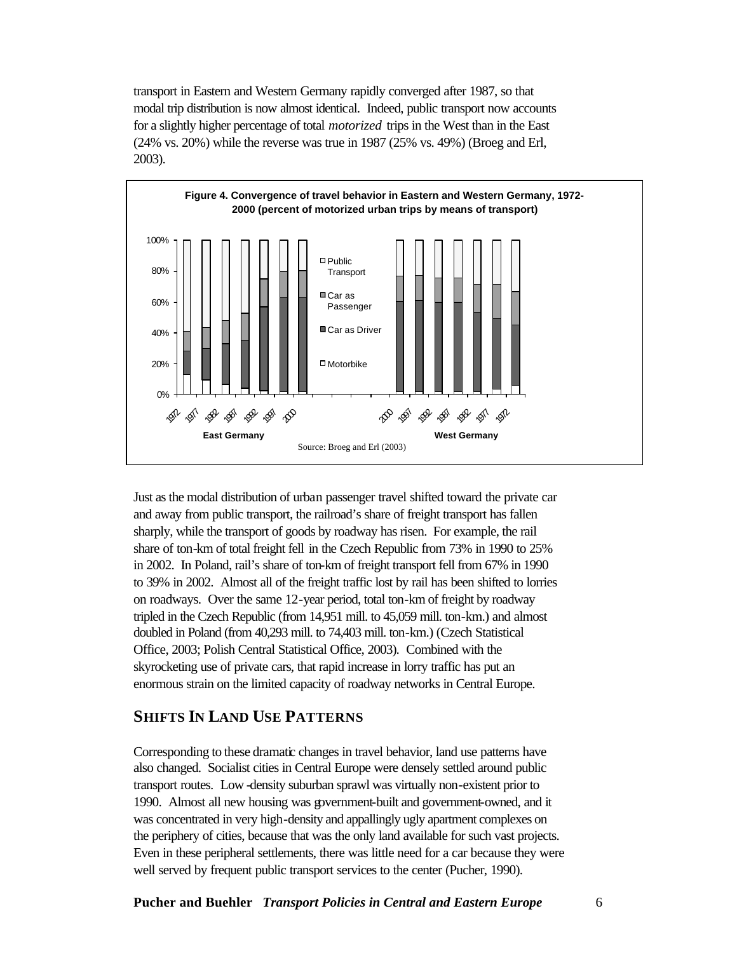transport in Eastern and Western Germany rapidly converged after 1987, so that modal trip distribution is now almost identical. Indeed, public transport now accounts for a slightly higher percentage of total *motorized* trips in the West than in the East (24% vs. 20%) while the reverse was true in 1987 (25% vs. 49%) (Broeg and Erl, 2003).



Just as the modal distribution of urban passenger travel shifted toward the private car and away from public transport, the railroad's share of freight transport has fallen sharply, while the transport of goods by roadway has risen. For example, the rail share of ton-km of total freight fell in the Czech Republic from 73% in 1990 to 25% in 2002. In Poland, rail's share of ton-km of freight transport fell from 67% in 1990 to 39% in 2002. Almost all of the freight traffic lost by rail has been shifted to lorries on roadways. Over the same 12-year period, total ton-km of freight by roadway tripled in the Czech Republic (from 14,951 mill. to 45,059 mill. ton-km.) and almost doubled in Poland (from 40,293 mill. to 74,403 mill. ton-km.) (Czech Statistical Office, 2003; Polish Central Statistical Office, 2003). Combined with the skyrocketing use of private cars, that rapid increase in lorry traffic has put an enormous strain on the limited capacity of roadway networks in Central Europe.

# **SHIFTS IN LAND USE PATTERNS**

Corresponding to these dramatic changes in travel behavior, land use patterns have also changed. Socialist cities in Central Europe were densely settled around public transport routes. Low -density suburban sprawl was virtually non-existent prior to 1990. Almost all new housing was government-built and government-owned, and it was concentrated in very high-density and appallingly ugly apartment complexes on the periphery of cities, because that was the only land available for such vast projects. Even in these peripheral settlements, there was little need for a car because they were well served by frequent public transport services to the center (Pucher, 1990).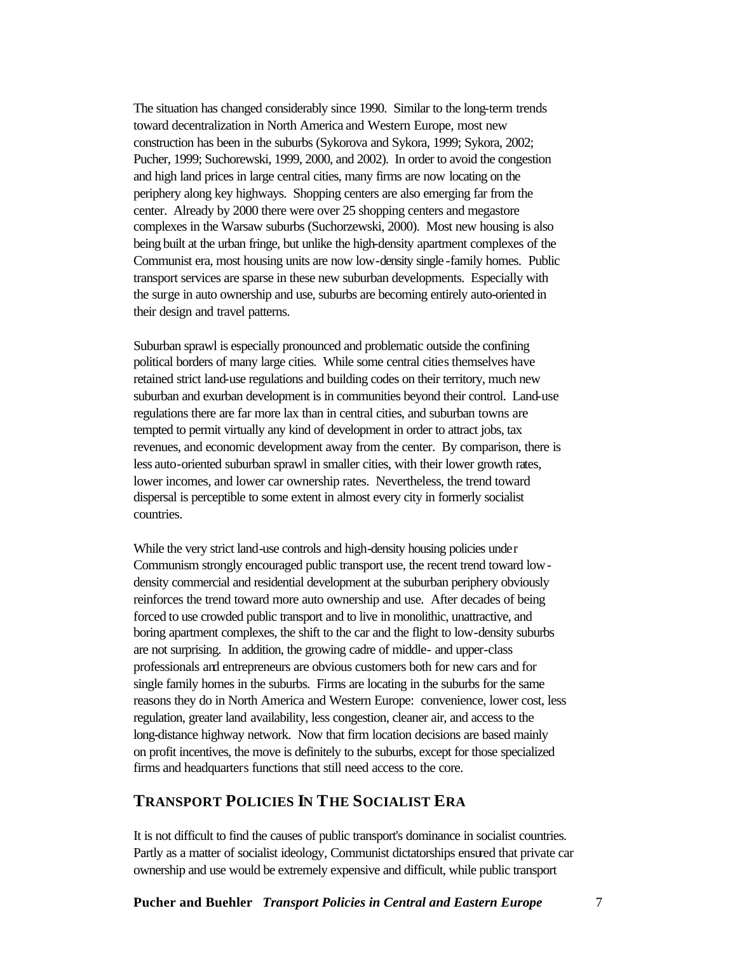The situation has changed considerably since 1990. Similar to the long-term trends toward decentralization in North America and Western Europe, most new construction has been in the suburbs (Sykorova and Sykora, 1999; Sykora, 2002; Pucher, 1999; Suchorewski, 1999, 2000, and 2002). In order to avoid the congestion and high land prices in large central cities, many firms are now locating on the periphery along key highways. Shopping centers are also emerging far from the center. Already by 2000 there were over 25 shopping centers and megastore complexes in the Warsaw suburbs (Suchorzewski, 2000). Most new housing is also being built at the urban fringe, but unlike the high-density apartment complexes of the Communist era, most housing units are now low-density single -family homes. Public transport services are sparse in these new suburban developments. Especially with the surge in auto ownership and use, suburbs are becoming entirely auto-oriented in their design and travel patterns.

Suburban sprawl is especially pronounced and problematic outside the confining political borders of many large cities. While some central cities themselves have retained strict land-use regulations and building codes on their territory, much new suburban and exurban development is in communities beyond their control. Land-use regulations there are far more lax than in central cities, and suburban towns are tempted to permit virtually any kind of development in order to attract jobs, tax revenues, and economic development away from the center. By comparison, there is less auto-oriented suburban sprawl in smaller cities, with their lower growth rates, lower incomes, and lower car ownership rates. Nevertheless, the trend toward dispersal is perceptible to some extent in almost every city in formerly socialist countries.

While the very strict land-use controls and high-density housing policies under Communism strongly encouraged public transport use, the recent trend toward lowdensity commercial and residential development at the suburban periphery obviously reinforces the trend toward more auto ownership and use. After decades of being forced to use crowded public transport and to live in monolithic, unattractive, and boring apartment complexes, the shift to the car and the flight to low-density suburbs are not surprising. In addition, the growing cadre of middle- and upper-class professionals and entrepreneurs are obvious customers both for new cars and for single family homes in the suburbs. Firms are locating in the suburbs for the same reasons they do in North America and Western Europe: convenience, lower cost, less regulation, greater land availability, less congestion, cleaner air, and access to the long-distance highway network. Now that firm location decisions are based mainly on profit incentives, the move is definitely to the suburbs, except for those specialized firms and headquarters functions that still need access to the core.

#### **TRANSPORT POLICIES IN THE SOCIALIST ERA**

It is not difficult to find the causes of public transport's dominance in socialist countries. Partly as a matter of socialist ideology, Communist dictatorships ensured that private car ownership and use would be extremely expensive and difficult, while public transport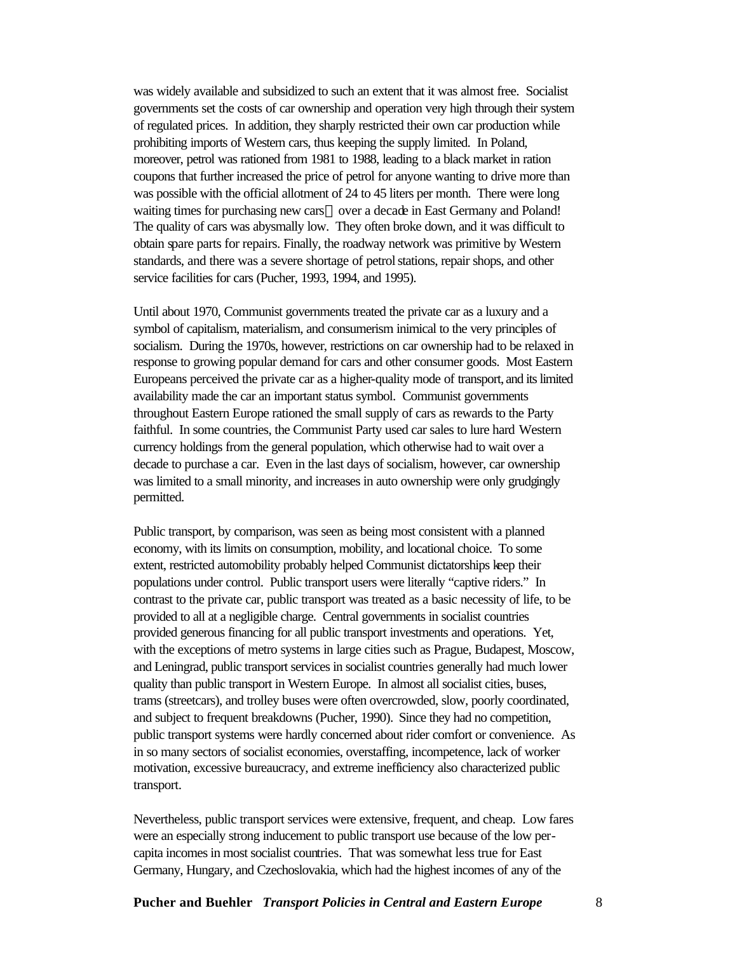was widely available and subsidized to such an extent that it was almost free. Socialist governments set the costs of car ownership and operation very high through their system of regulated prices. In addition, they sharply restricted their own car production while prohibiting imports of Western cars, thus keeping the supply limited. In Poland, moreover, petrol was rationed from 1981 to 1988, leading to a black market in ration coupons that further increased the price of petrol for anyone wanting to drive more than was possible with the official allotment of 24 to 45 liters per month. There were long waiting times for purchasing new cars—over a decade in East Germany and Poland! The quality of cars was abysmally low. They often broke down, and it was difficult to obtain spare parts for repairs. Finally, the roadway network was primitive by Western standards, and there was a severe shortage of petrol stations, repair shops, and other service facilities for cars (Pucher, 1993, 1994, and 1995).

Until about 1970, Communist governments treated the private car as a luxury and a symbol of capitalism, materialism, and consumerism inimical to the very principles of socialism. During the 1970s, however, restrictions on car ownership had to be relaxed in response to growing popular demand for cars and other consumer goods. Most Eastern Europeans perceived the private car as a higher-quality mode of transport, and its limited availability made the car an important status symbol. Communist governments throughout Eastern Europe rationed the small supply of cars as rewards to the Party faithful. In some countries, the Communist Party used car sales to lure hard Western currency holdings from the general population, which otherwise had to wait over a decade to purchase a car. Even in the last days of socialism, however, car ownership was limited to a small minority, and increases in auto ownership were only grudgingly permitted.

Public transport, by comparison, was seen as being most consistent with a planned economy, with its limits on consumption, mobility, and locational choice. To some extent, restricted automobility probably helped Communist dictatorships keep their populations under control. Public transport users were literally "captive riders." In contrast to the private car, public transport was treated as a basic necessity of life, to be provided to all at a negligible charge. Central governments in socialist countries provided generous financing for all public transport investments and operations. Yet, with the exceptions of metro systems in large cities such as Prague, Budapest, Moscow, and Leningrad, public transport services in socialist countries generally had much lower quality than public transport in Western Europe. In almost all socialist cities, buses, trams (streetcars), and trolley buses were often overcrowded, slow, poorly coordinated, and subject to frequent breakdowns (Pucher, 1990). Since they had no competition, public transport systems were hardly concerned about rider comfort or convenience. As in so many sectors of socialist economies, overstaffing, incompetence, lack of worker motivation, excessive bureaucracy, and extreme inefficiency also characterized public transport.

Nevertheless, public transport services were extensive, frequent, and cheap. Low fares were an especially strong inducement to public transport use because of the low percapita incomes in most socialist countries. That was somewhat less true for East Germany, Hungary, and Czechoslovakia, which had the highest incomes of any of the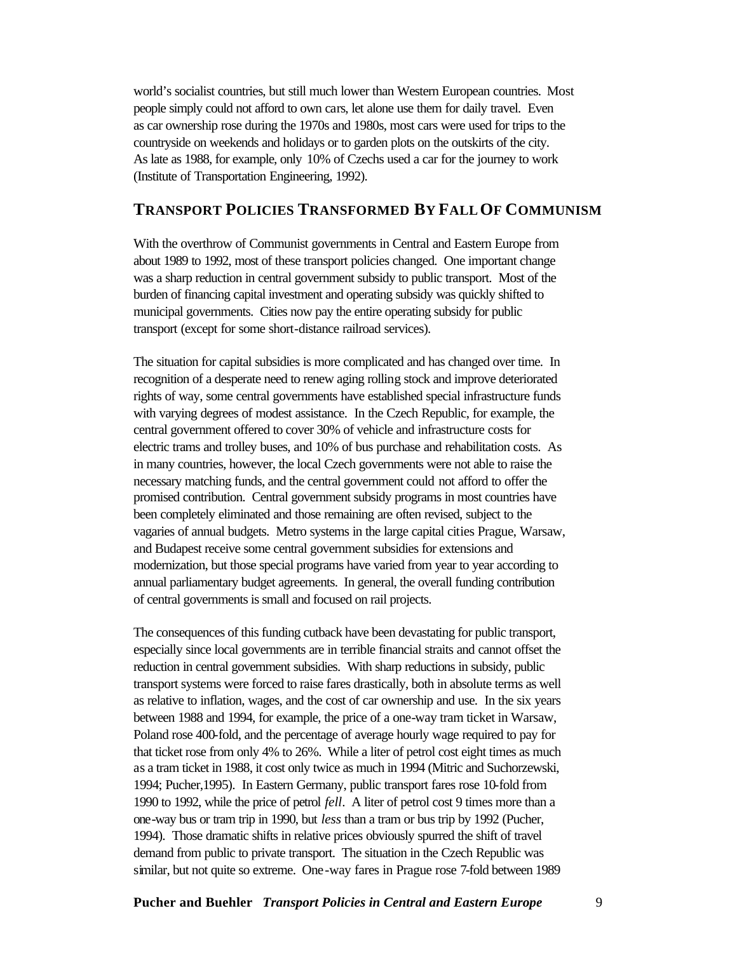world's socialist countries, but still much lower than Western European countries. Most people simply could not afford to own cars, let alone use them for daily travel. Even as car ownership rose during the 1970s and 1980s, most cars were used for trips to the countryside on weekends and holidays or to garden plots on the outskirts of the city. As late as 1988, for example, only 10% of Czechs used a car for the journey to work (Institute of Transportation Engineering, 1992).

## **TRANSPORT POLICIES TRANSFORMED BY FALL OF COMMUNISM**

With the overthrow of Communist governments in Central and Eastern Europe from about 1989 to 1992, most of these transport policies changed. One important change was a sharp reduction in central government subsidy to public transport. Most of the burden of financing capital investment and operating subsidy was quickly shifted to municipal governments. Cities now pay the entire operating subsidy for public transport (except for some short-distance railroad services).

The situation for capital subsidies is more complicated and has changed over time. In recognition of a desperate need to renew aging rolling stock and improve deteriorated rights of way, some central governments have established special infrastructure funds with varying degrees of modest assistance. In the Czech Republic, for example, the central government offered to cover 30% of vehicle and infrastructure costs for electric trams and trolley buses, and 10% of bus purchase and rehabilitation costs. As in many countries, however, the local Czech governments were not able to raise the necessary matching funds, and the central government could not afford to offer the promised contribution. Central government subsidy programs in most countries have been completely eliminated and those remaining are often revised, subject to the vagaries of annual budgets. Metro systems in the large capital cities Prague, Warsaw, and Budapest receive some central government subsidies for extensions and modernization, but those special programs have varied from year to year according to annual parliamentary budget agreements. In general, the overall funding contribution of central governments is small and focused on rail projects.

The consequences of this funding cutback have been devastating for public transport, especially since local governments are in terrible financial straits and cannot offset the reduction in central government subsidies. With sharp reductions in subsidy, public transport systems were forced to raise fares drastically, both in absolute terms as well as relative to inflation, wages, and the cost of car ownership and use. In the six years between 1988 and 1994, for example, the price of a one-way tram ticket in Warsaw, Poland rose 400-fold, and the percentage of average hourly wage required to pay for that ticket rose from only 4% to 26%. While a liter of petrol cost eight times as much as a tram ticket in 1988, it cost only twice as much in 1994 (Mitric and Suchorzewski, 1994; Pucher,1995). In Eastern Germany, public transport fares rose 10-fold from 1990 to 1992, while the price of petrol *fell*. A liter of petrol cost 9 times more than a one-way bus or tram trip in 1990, but *less* than a tram or bus trip by 1992 (Pucher, 1994). Those dramatic shifts in relative prices obviously spurred the shift of travel demand from public to private transport. The situation in the Czech Republic was similar, but not quite so extreme. One-way fares in Prague rose 7-fold between 1989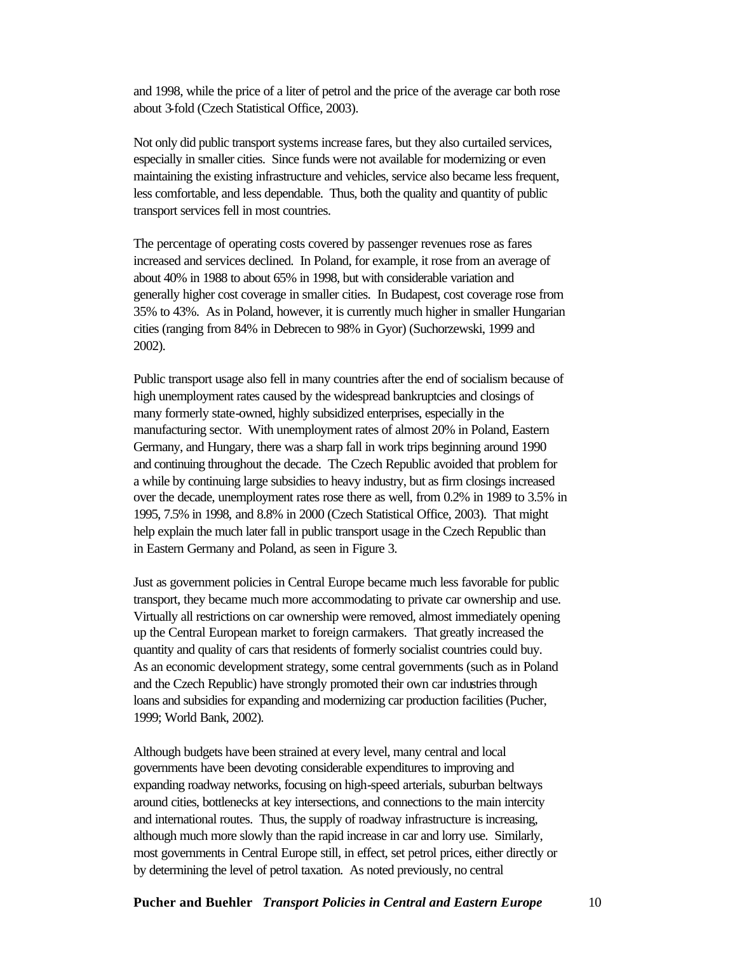and 1998, while the price of a liter of petrol and the price of the average car both rose about 3-fold (Czech Statistical Office, 2003).

Not only did public transport systems increase fares, but they also curtailed services, especially in smaller cities. Since funds were not available for modernizing or even maintaining the existing infrastructure and vehicles, service also became less frequent, less comfortable, and less dependable. Thus, both the quality and quantity of public transport services fell in most countries.

The percentage of operating costs covered by passenger revenues rose as fares increased and services declined. In Poland, for example, it rose from an average of about 40% in 1988 to about 65% in 1998, but with considerable variation and generally higher cost coverage in smaller cities. In Budapest, cost coverage rose from 35% to 43%. As in Poland, however, it is currently much higher in smaller Hungarian cities (ranging from 84% in Debrecen to 98% in Gyor) (Suchorzewski, 1999 and 2002).

Public transport usage also fell in many countries after the end of socialism because of high unemployment rates caused by the widespread bankruptcies and closings of many formerly state-owned, highly subsidized enterprises, especially in the manufacturing sector. With unemployment rates of almost 20% in Poland, Eastern Germany, and Hungary, there was a sharp fall in work trips beginning around 1990 and continuing throughout the decade. The Czech Republic avoided that problem for a while by continuing large subsidies to heavy industry, but as firm closings increased over the decade, unemployment rates rose there as well, from 0.2% in 1989 to 3.5% in 1995, 7.5% in 1998, and 8.8% in 2000 (Czech Statistical Office, 2003). That might help explain the much later fall in public transport usage in the Czech Republic than in Eastern Germany and Poland, as seen in Figure 3.

Just as government policies in Central Europe became much less favorable for public transport, they became much more accommodating to private car ownership and use. Virtually all restrictions on car ownership were removed, almost immediately opening up the Central European market to foreign carmakers. That greatly increased the quantity and quality of cars that residents of formerly socialist countries could buy. As an economic development strategy, some central governments (such as in Poland and the Czech Republic) have strongly promoted their own car industries through loans and subsidies for expanding and modernizing car production facilities (Pucher, 1999; World Bank, 2002).

Although budgets have been strained at every level, many central and local governments have been devoting considerable expenditures to improving and expanding roadway networks, focusing on high-speed arterials, suburban beltways around cities, bottlenecks at key intersections, and connections to the main intercity and international routes. Thus, the supply of roadway infrastructure is increasing, although much more slowly than the rapid increase in car and lorry use. Similarly, most governments in Central Europe still, in effect, set petrol prices, either directly or by determining the level of petrol taxation. As noted previously, no central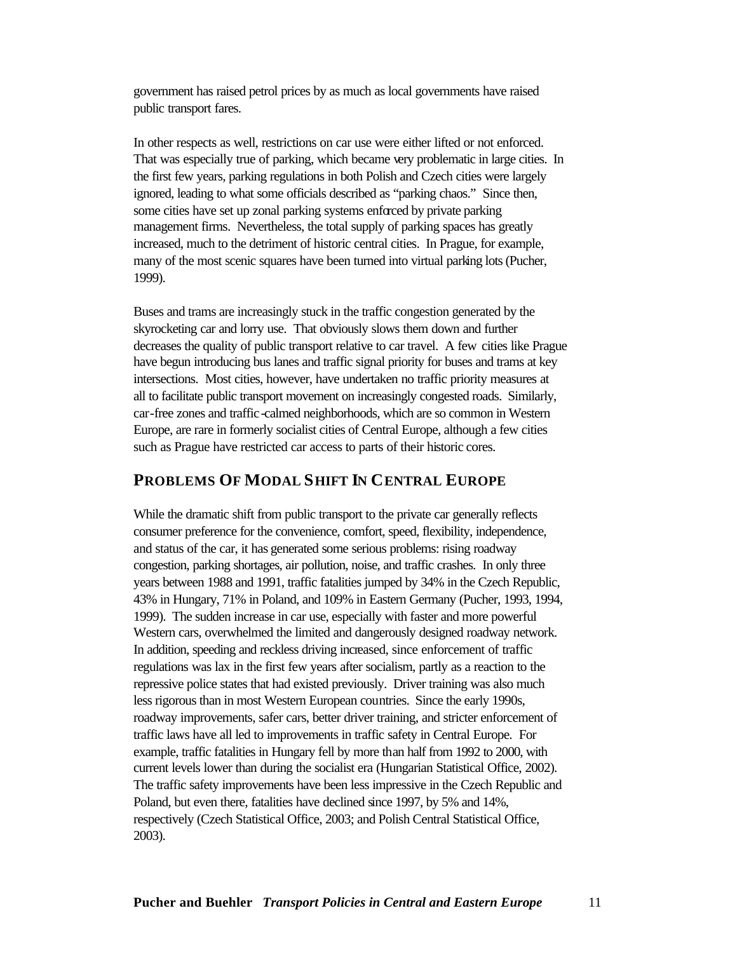government has raised petrol prices by as much as local governments have raised public transport fares.

In other respects as well, restrictions on car use were either lifted or not enforced. That was especially true of parking, which became very problematic in large cities. In the first few years, parking regulations in both Polish and Czech cities were largely ignored, leading to what some officials described as "parking chaos." Since then, some cities have set up zonal parking systems enforced by private parking management firms. Nevertheless, the total supply of parking spaces has greatly increased, much to the detriment of historic central cities. In Prague, for example, many of the most scenic squares have been turned into virtual parking lots (Pucher, 1999).

Buses and trams are increasingly stuck in the traffic congestion generated by the skyrocketing car and lorry use. That obviously slows them down and further decreases the quality of public transport relative to car travel. A few cities like Prague have begun introducing bus lanes and traffic signal priority for buses and trams at key intersections. Most cities, however, have undertaken no traffic priority measures at all to facilitate public transport movement on increasingly congested roads. Similarly, car-free zones and traffic-calmed neighborhoods, which are so common in Western Europe, are rare in formerly socialist cities of Central Europe, although a few cities such as Prague have restricted car access to parts of their historic cores.

## **PROBLEMS OF MODAL SHIFT IN CENTRAL EUROPE**

While the dramatic shift from public transport to the private car generally reflects consumer preference for the convenience, comfort, speed, flexibility, independence, and status of the car, it has generated some serious problems: rising roadway congestion, parking shortages, air pollution, noise, and traffic crashes. In only three years between 1988 and 1991, traffic fatalities jumped by 34% in the Czech Republic, 43% in Hungary, 71% in Poland, and 109% in Eastern Germany (Pucher, 1993, 1994, 1999). The sudden increase in car use, especially with faster and more powerful Western cars, overwhelmed the limited and dangerously designed roadway network. In addition, speeding and reckless driving increased, since enforcement of traffic regulations was lax in the first few years after socialism, partly as a reaction to the repressive police states that had existed previously. Driver training was also much less rigorous than in most Western European countries. Since the early 1990s, roadway improvements, safer cars, better driver training, and stricter enforcement of traffic laws have all led to improvements in traffic safety in Central Europe. For example, traffic fatalities in Hungary fell by more than half from 1992 to 2000, with current levels lower than during the socialist era (Hungarian Statistical Office, 2002). The traffic safety improvements have been less impressive in the Czech Republic and Poland, but even there, fatalities have declined since 1997, by 5% and 14%, respectively (Czech Statistical Office, 2003; and Polish Central Statistical Office, 2003).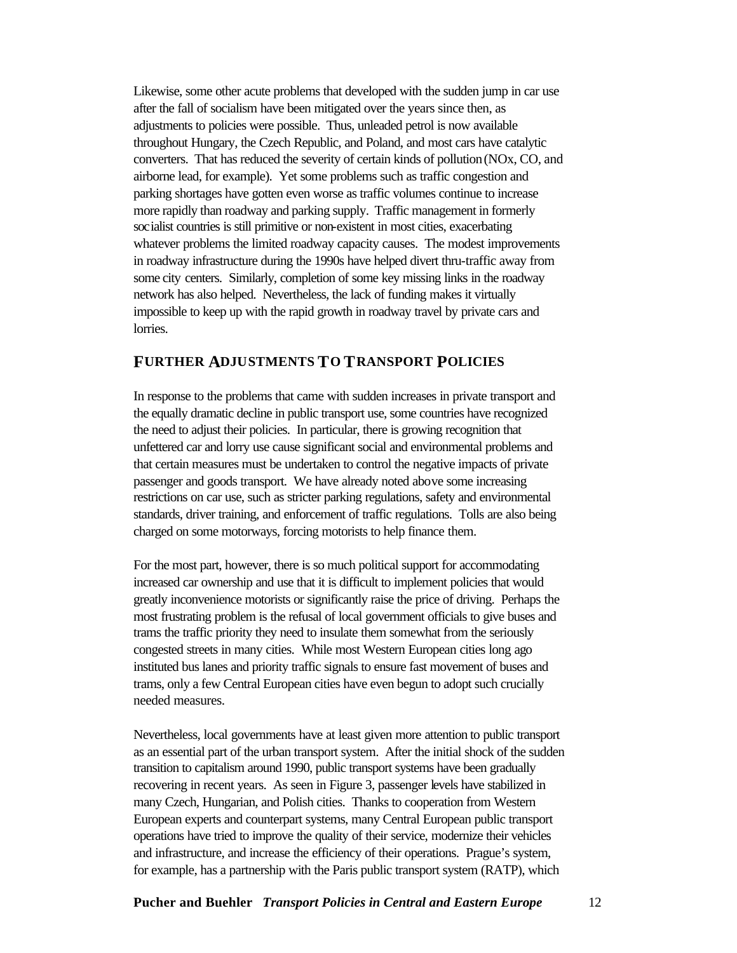Likewise, some other acute problems that developed with the sudden jump in car use after the fall of socialism have been mitigated over the years since then, as adjustments to policies were possible. Thus, unleaded petrol is now available throughout Hungary, the Czech Republic, and Poland, and most cars have catalytic converters. That has reduced the severity of certain kinds of pollution (NOx, CO, and airborne lead, for example). Yet some problems such as traffic congestion and parking shortages have gotten even worse as traffic volumes continue to increase more rapidly than roadway and parking supply. Traffic management in formerly socialist countries is still primitive or non-existent in most cities, exacerbating whatever problems the limited roadway capacity causes. The modest improvements in roadway infrastructure during the 1990s have helped divert thru-traffic away from some city centers. Similarly, completion of some key missing links in the roadway network has also helped. Nevertheless, the lack of funding makes it virtually impossible to keep up with the rapid growth in roadway travel by private cars and lorries.

#### **FURTHER ADJUSTMENTS TO TRANSPORT POLICIES**

In response to the problems that came with sudden increases in private transport and the equally dramatic decline in public transport use, some countries have recognized the need to adjust their policies. In particular, there is growing recognition that unfettered car and lorry use cause significant social and environmental problems and that certain measures must be undertaken to control the negative impacts of private passenger and goods transport. We have already noted above some increasing restrictions on car use, such as stricter parking regulations, safety and environmental standards, driver training, and enforcement of traffic regulations. Tolls are also being charged on some motorways, forcing motorists to help finance them.

For the most part, however, there is so much political support for accommodating increased car ownership and use that it is difficult to implement policies that would greatly inconvenience motorists or significantly raise the price of driving. Perhaps the most frustrating problem is the refusal of local government officials to give buses and trams the traffic priority they need to insulate them somewhat from the seriously congested streets in many cities. While most Western European cities long ago instituted bus lanes and priority traffic signals to ensure fast movement of buses and trams, only a few Central European cities have even begun to adopt such crucially needed measures.

Nevertheless, local governments have at least given more attention to public transport as an essential part of the urban transport system. After the initial shock of the sudden transition to capitalism around 1990, public transport systems have been gradually recovering in recent years. As seen in Figure 3, passenger levels have stabilized in many Czech, Hungarian, and Polish cities. Thanks to cooperation from Western European experts and counterpart systems, many Central European public transport operations have tried to improve the quality of their service, modernize their vehicles and infrastructure, and increase the efficiency of their operations. Prague's system, for example, has a partnership with the Paris public transport system (RATP), which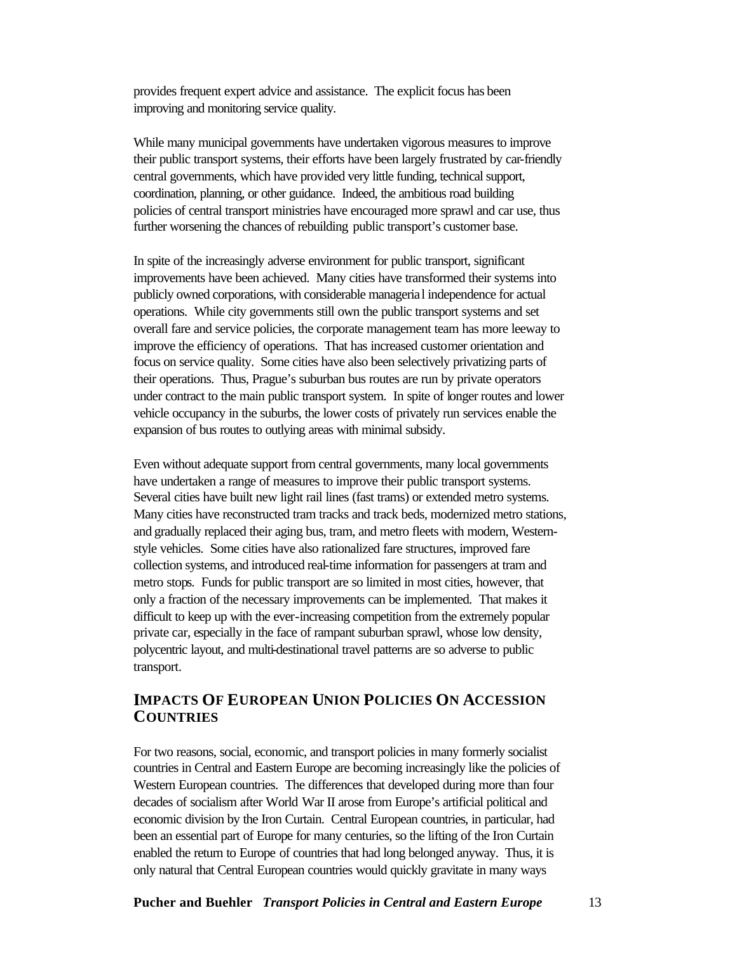provides frequent expert advice and assistance. The explicit focus has been improving and monitoring service quality.

While many municipal governments have undertaken vigorous measures to improve their public transport systems, their efforts have been largely frustrated by car-friendly central governments, which have provided very little funding, technical support, coordination, planning, or other guidance. Indeed, the ambitious road building policies of central transport ministries have encouraged more sprawl and car use, thus further worsening the chances of rebuilding public transport's customer base.

In spite of the increasingly adverse environment for public transport, significant improvements have been achieved. Many cities have transformed their systems into publicly owned corporations, with considerable managerial independence for actual operations. While city governments still own the public transport systems and set overall fare and service policies, the corporate management team has more leeway to improve the efficiency of operations. That has increased customer orientation and focus on service quality. Some cities have also been selectively privatizing parts of their operations. Thus, Prague's suburban bus routes are run by private operators under contract to the main public transport system. In spite of longer routes and lower vehicle occupancy in the suburbs, the lower costs of privately run services enable the expansion of bus routes to outlying areas with minimal subsidy.

Even without adequate support from central governments, many local governments have undertaken a range of measures to improve their public transport systems. Several cities have built new light rail lines (fast trams) or extended metro systems. Many cities have reconstructed tram tracks and track beds, modernized metro stations, and gradually replaced their aging bus, tram, and metro fleets with modern, Westernstyle vehicles. Some cities have also rationalized fare structures, improved fare collection systems, and introduced real-time information for passengers at tram and metro stops. Funds for public transport are so limited in most cities, however, that only a fraction of the necessary improvements can be implemented. That makes it difficult to keep up with the ever-increasing competition from the extremely popular private car, especially in the face of rampant suburban sprawl, whose low density, polycentric layout, and multi-destinational travel patterns are so adverse to public transport.

# **IMPACTS OF EUROPEAN UNION POLICIES ON ACCESSION COUNTRIES**

For two reasons, social, economic, and transport policies in many formerly socialist countries in Central and Eastern Europe are becoming increasingly like the policies of Western European countries. The differences that developed during more than four decades of socialism after World War II arose from Europe's artificial political and economic division by the Iron Curtain. Central European countries, in particular, had been an essential part of Europe for many centuries, so the lifting of the Iron Curtain enabled the return to Europe of countries that had long belonged anyway. Thus, it is only natural that Central European countries would quickly gravitate in many ways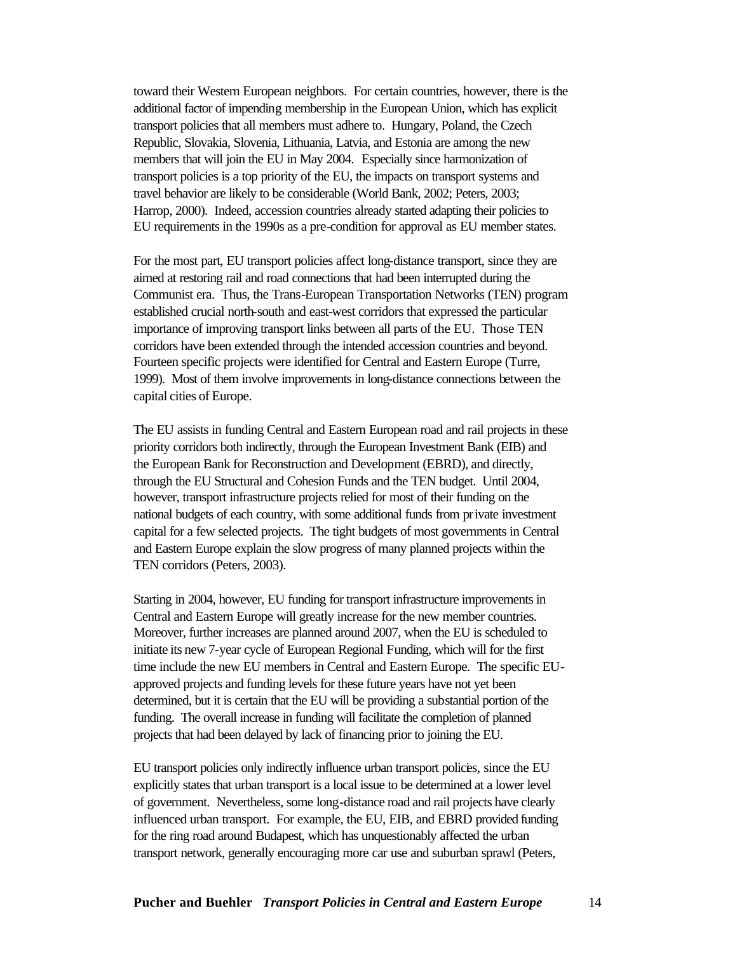toward their Western European neighbors. For certain countries, however, there is the additional factor of impending membership in the European Union, which has explicit transport policies that all members must adhere to. Hungary, Poland, the Czech Republic, Slovakia, Slovenia, Lithuania, Latvia, and Estonia are among the new members that will join the EU in May 2004. Especially since harmonization of transport policies is a top priority of the EU, the impacts on transport systems and travel behavior are likely to be considerable (World Bank, 2002; Peters, 2003; Harrop, 2000). Indeed, accession countries already started adapting their policies to EU requirements in the 1990s as a pre-condition for approval as EU member states.

For the most part, EU transport policies affect long-distance transport, since they are aimed at restoring rail and road connections that had been interrupted during the Communist era. Thus, the Trans-European Transportation Networks (TEN) program established crucial north-south and east-west corridors that expressed the particular importance of improving transport links between all parts of the EU. Those TEN corridors have been extended through the intended accession countries and beyond. Fourteen specific projects were identified for Central and Eastern Europe (Turre, 1999). Most of them involve improvements in long-distance connections between the capital cities of Europe.

The EU assists in funding Central and Eastern European road and rail projects in these priority corridors both indirectly, through the European Investment Bank (EIB) and the European Bank for Reconstruction and Development (EBRD), and directly, through the EU Structural and Cohesion Funds and the TEN budget. Until 2004, however, transport infrastructure projects relied for most of their funding on the national budgets of each country, with some additional funds from private investment capital for a few selected projects. The tight budgets of most governments in Central and Eastern Europe explain the slow progress of many planned projects within the TEN corridors (Peters, 2003).

Starting in 2004, however, EU funding for transport infrastructure improvements in Central and Eastern Europe will greatly increase for the new member countries. Moreover, further increases are planned around 2007, when the EU is scheduled to initiate its new 7-year cycle of European Regional Funding, which will for the first time include the new EU members in Central and Eastern Europe. The specific EUapproved projects and funding levels for these future years have not yet been determined, but it is certain that the EU will be providing a substantial portion of the funding. The overall increase in funding will facilitate the completion of planned projects that had been delayed by lack of financing prior to joining the EU.

EU transport policies only indirectly influence urban transport policies, since the EU explicitly states that urban transport is a local issue to be determined at a lower level of government. Nevertheless, some long-distance road and rail projects have clearly influenced urban transport. For example, the EU, EIB, and EBRD provided funding for the ring road around Budapest, which has unquestionably affected the urban transport network, generally encouraging more car use and suburban sprawl (Peters,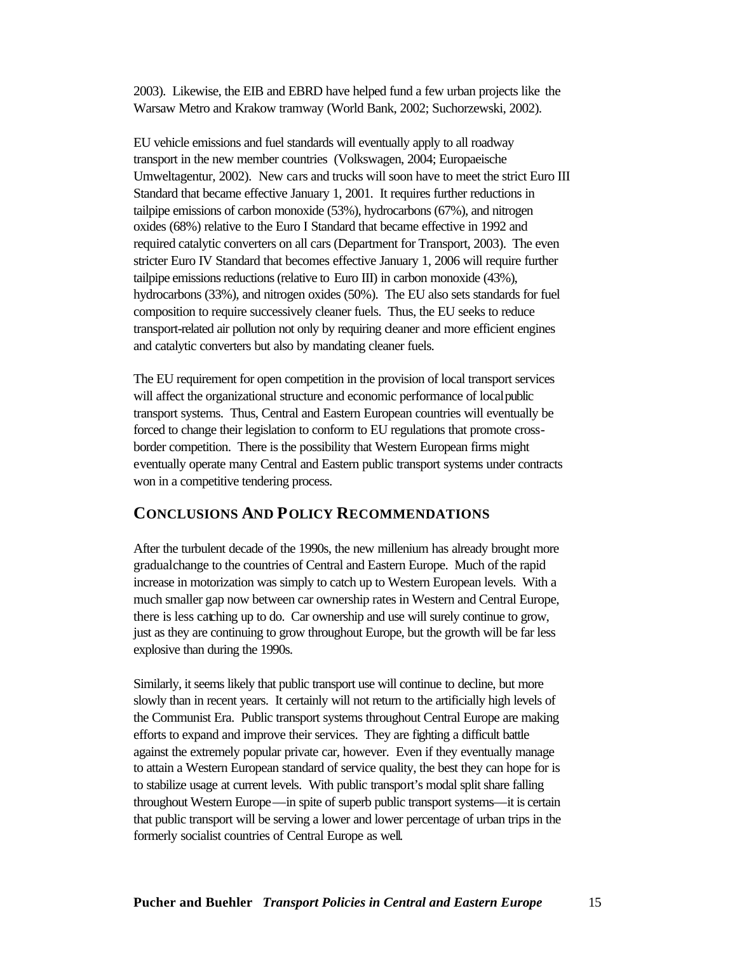2003). Likewise, the EIB and EBRD have helped fund a few urban projects like the Warsaw Metro and Krakow tramway (World Bank, 2002; Suchorzewski, 2002).

EU vehicle emissions and fuel standards will eventually apply to all roadway transport in the new member countries (Volkswagen, 2004; Europaeische Umweltagentur, 2002). New cars and trucks will soon have to meet the strict Euro III Standard that became effective January 1, 2001. It requires further reductions in tailpipe emissions of carbon monoxide (53%), hydrocarbons (67%), and nitrogen oxides (68%) relative to the Euro I Standard that became effective in 1992 and required catalytic converters on all cars (Department for Transport, 2003). The even stricter Euro IV Standard that becomes effective January 1, 2006 will require further tailpipe emissions reductions (relative to Euro III) in carbon monoxide (43%), hydrocarbons (33%), and nitrogen oxides (50%). The EU also sets standards for fuel composition to require successively cleaner fuels. Thus, the EU seeks to reduce transport-related air pollution not only by requiring cleaner and more efficient engines and catalytic converters but also by mandating cleaner fuels.

The EU requirement for open competition in the provision of local transport services will affect the organizational structure and economic performance of local public transport systems. Thus, Central and Eastern European countries will eventually be forced to change their legislation to conform to EU regulations that promote crossborder competition. There is the possibility that Western European firms might eventually operate many Central and Eastern public transport systems under contracts won in a competitive tendering process.

## **CONCLUSIONS AND POLICY RECOMMENDATIONS**

After the turbulent decade of the 1990s, the new millenium has already brought more gradual change to the countries of Central and Eastern Europe. Much of the rapid increase in motorization was simply to catch up to Western European levels. With a much smaller gap now between car ownership rates in Western and Central Europe, there is less catching up to do. Car ownership and use will surely continue to grow, just as they are continuing to grow throughout Europe, but the growth will be far less explosive than during the 1990s.

Similarly, it seems likely that public transport use will continue to decline, but more slowly than in recent years. It certainly will not return to the artificially high levels of the Communist Era. Public transport systems throughout Central Europe are making efforts to expand and improve their services. They are fighting a difficult battle against the extremely popular private car, however. Even if they eventually manage to attain a Western European standard of service quality, the best they can hope for is to stabilize usage at current levels. With public transport's modal split share falling throughout Western Europe—in spite of superb public transport systems—it is certain that public transport will be serving a lower and lower percentage of urban trips in the formerly socialist countries of Central Europe as well.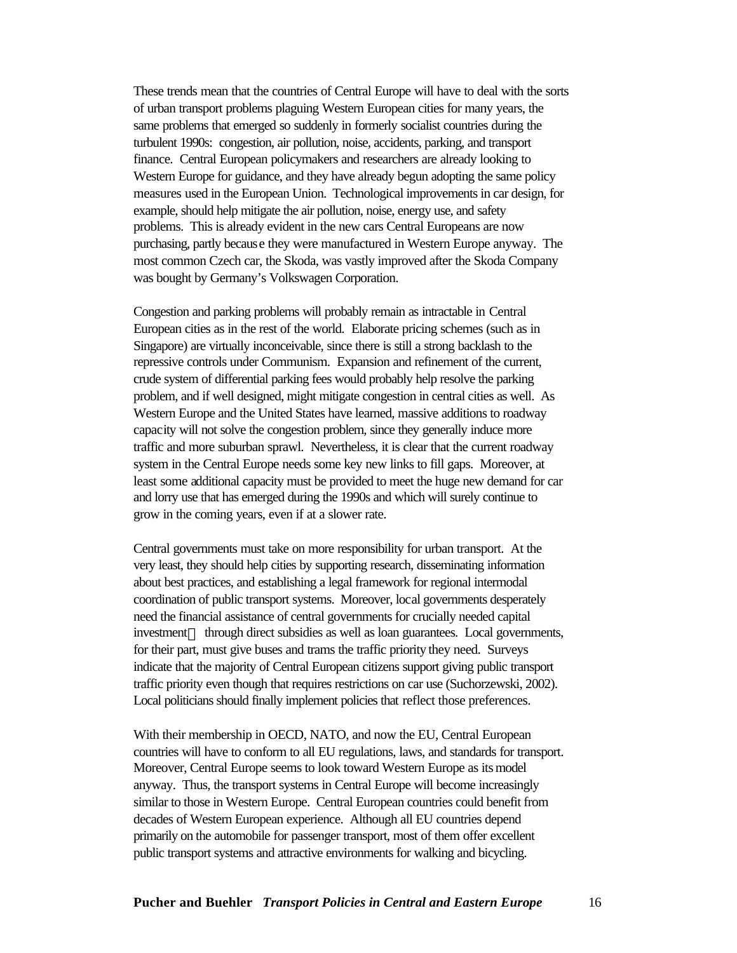These trends mean that the countries of Central Europe will have to deal with the sorts of urban transport problems plaguing Western European cities for many years, the same problems that emerged so suddenly in formerly socialist countries during the turbulent 1990s: congestion, air pollution, noise, accidents, parking, and transport finance. Central European policymakers and researchers are already looking to Western Europe for guidance, and they have already begun adopting the same policy measures used in the European Union. Technological improvements in car design, for example, should help mitigate the air pollution, noise, energy use, and safety problems. This is already evident in the new cars Central Europeans are now purchasing, partly because they were manufactured in Western Europe anyway. The most common Czech car, the Skoda, was vastly improved after the Skoda Company was bought by Germany's Volkswagen Corporation.

Congestion and parking problems will probably remain as intractable in Central European cities as in the rest of the world. Elaborate pricing schemes (such as in Singapore) are virtually inconceivable, since there is still a strong backlash to the repressive controls under Communism. Expansion and refinement of the current, crude system of differential parking fees would probably help resolve the parking problem, and if well designed, might mitigate congestion in central cities as well. As Western Europe and the United States have learned, massive additions to roadway capacity will not solve the congestion problem, since they generally induce more traffic and more suburban sprawl. Nevertheless, it is clear that the current roadway system in the Central Europe needs some key new links to fill gaps. Moreover, at least some additional capacity must be provided to meet the huge new demand for car and lorry use that has emerged during the 1990s and which will surely continue to grow in the coming years, even if at a slower rate.

Central governments must take on more responsibility for urban transport. At the very least, they should help cities by supporting research, disseminating information about best practices, and establishing a legal framework for regional intermodal coordination of public transport systems. Moreover, local governments desperately need the financial assistance of central governments for crucially needed capital investment— through direct subsidies as well as loan guarantees. Local governments, for their part, must give buses and trams the traffic priority they need. Surveys indicate that the majority of Central European citizens support giving public transport traffic priority even though that requires restrictions on car use (Suchorzewski, 2002). Local politicians should finally implement policies that reflect those preferences.

With their membership in OECD, NATO, and now the EU, Central European countries will have to conform to all EU regulations, laws, and standards for transport. Moreover, Central Europe seems to look toward Western Europe as its model anyway. Thus, the transport systems in Central Europe will become increasingly similar to those in Western Europe. Central European countries could benefit from decades of Western European experience. Although all EU countries depend primarily on the automobile for passenger transport, most of them offer excellent public transport systems and attractive environments for walking and bicycling.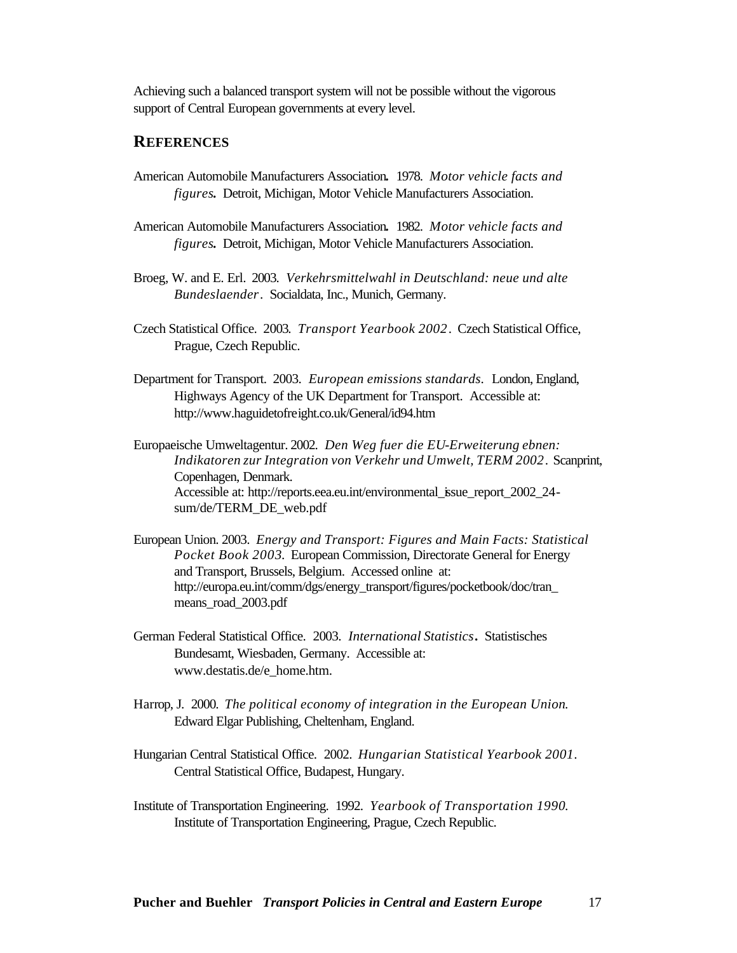Achieving such a balanced transport system will not be possible without the vigorous support of Central European governments at every level.

#### **REFERENCES**

- American Automobile Manufacturers Association**.** 1978.*Motor vehicle facts and figures***.** Detroit, Michigan, Motor Vehicle Manufacturers Association.
- American Automobile Manufacturers Association**.** 1982.*Motor vehicle facts and figures***.** Detroit, Michigan, Motor Vehicle Manufacturers Association.
- Broeg, W. and E. Erl. 2003. *Verkehrsmittelwahl in Deutschland: neue und alte Bundeslaender*. Socialdata, Inc., Munich, Germany.
- Czech Statistical Office. 2003. *Transport Yearbook 2002*. Czech Statistical Office, Prague, Czech Republic.
- Department for Transport. 2003. *European emissions standards.* London, England, Highways Agency of the UK Department for Transport. Accessible at: http://www.haguidetofreight.co.uk/General/id94.htm
- Europaeische Umweltagentur. 2002. *Den Weg fuer die EU-Erweiterung ebnen: Indikatoren zur Integration von Verkehr und Umwelt, TERM 2002*. Scanprint, Copenhagen, Denmark. Accessible at: http://reports.eea.eu.int/environmental\_issue\_report\_2002\_24sum/de/TERM\_DE\_web.pdf
- European Union. 2003. *Energy and Transport: Figures and Main Facts: Statistical Pocket Book 2003*. European Commission, Directorate General for Energy and Transport, Brussels, Belgium. Accessed online at: http://europa.eu.int/comm/dgs/energy\_transport/figures/pocketbook/doc/tran\_ means\_road\_2003.pdf
- German Federal Statistical Office. 2003.*International Statistics***.** Statistisches Bundesamt, Wiesbaden, Germany. Accessible at: www.destatis.de/e\_home.htm.
- Harrop, J. 2000. *The political economy of integration in the European Union*. Edward Elgar Publishing, Cheltenham, England.
- Hungarian Central Statistical Office. 2002. *Hungarian Statistical Yearbook 2001*. Central Statistical Office, Budapest, Hungary.
- Institute of Transportation Engineering. 1992. *Yearbook of Transportation 1990*. Institute of Transportation Engineering, Prague, Czech Republic.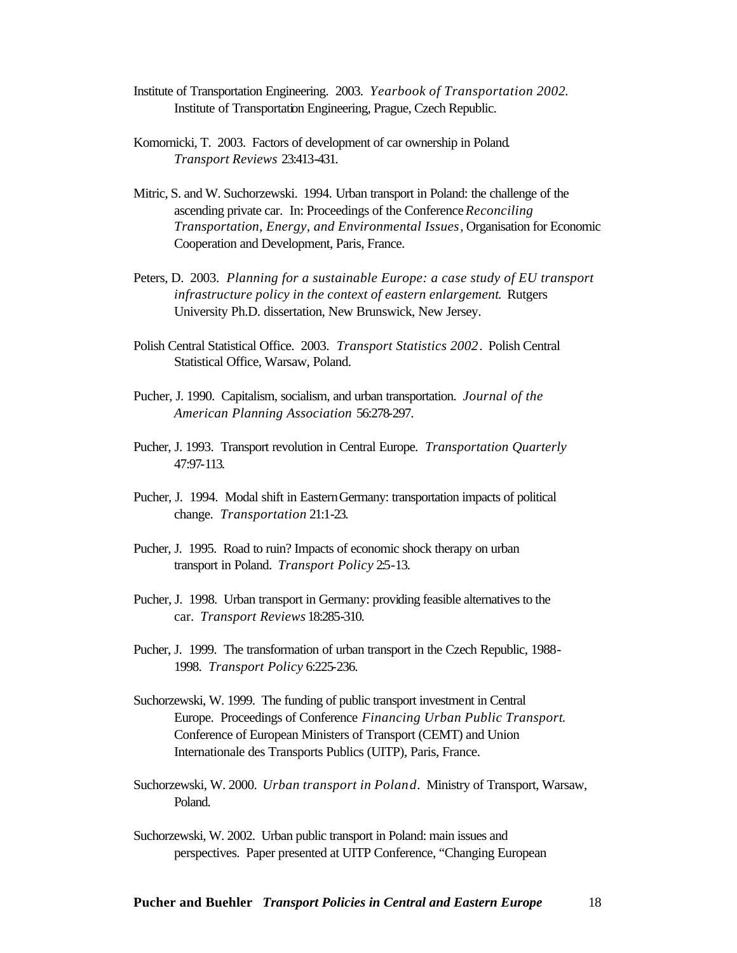- Institute of Transportation Engineering. 2003. *Yearbook of Transportation 2002*. Institute of Transportation Engineering, Prague, Czech Republic.
- Komornicki, T. 2003. Factors of development of car ownership in Poland*. Transport Reviews* 23:413-431.
- Mitric, S. and W. Suchorzewski. 1994. Urban transport in Poland: the challenge of the ascending private car. In: Proceedings of the Conference *Reconciling Transportation, Energy, and Environmental Issues*, Organisation for Economic Cooperation and Development, Paris, France.
- Peters, D. 2003. *Planning for a sustainable Europe: a case study of EU transport infrastructure policy in the context of eastern enlargement*. Rutgers University Ph.D. dissertation, New Brunswick, New Jersey.
- Polish Central Statistical Office. 2003. *Transport Statistics 2002*. Polish Central Statistical Office, Warsaw, Poland.
- Pucher, J. 1990. Capitalism, socialism, and urban transportation. *Journal of the American Planning Association* 56:278-297.
- Pucher, J. 1993. Transport revolution in Central Europe. *Transportation Quarterly* 47:97-113.
- Pucher, J. 1994. Modal shift in Eastern Germany: transportation impacts of political change. *Transportation* 21:1-23.
- Pucher, J. 1995. Road to ruin? Impacts of economic shock therapy on urban transport in Poland. *Transport Policy* 2:5-13.
- Pucher, J. 1998. Urban transport in Germany: providing feasible alternatives to the car. *Transport Reviews* 18:285-310.
- Pucher, J. 1999. The transformation of urban transport in the Czech Republic, 1988- 1998. *Transport Policy* 6:225-236.
- Suchorzewski, W. 1999. The funding of public transport investment in Central Europe. Proceedings of Conference *Financing Urban Public Transport*. Conference of European Ministers of Transport (CEMT) and Union Internationale des Transports Publics (UITP), Paris, France.
- Suchorzewski, W. 2000. *Urban transport in Poland*. Ministry of Transport, Warsaw, Poland.
- Suchorzewski, W. 2002. Urban public transport in Poland: main issues and perspectives. Paper presented at UITP Conference, "Changing European